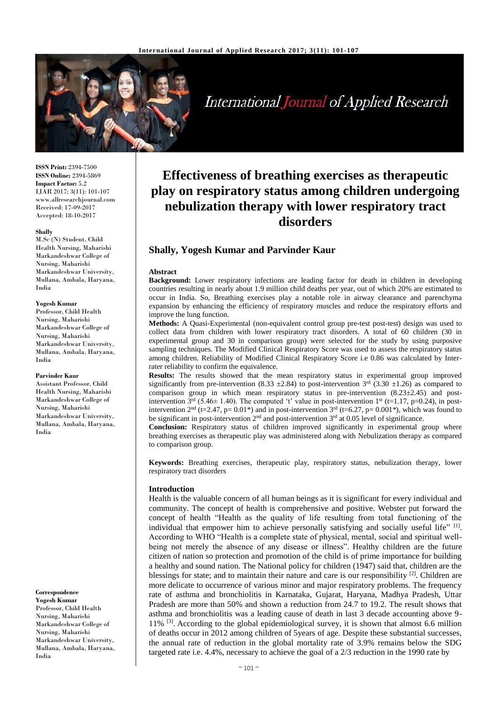

International Journal of Applied Research

**ISSN Print:** 2394-7500 **ISSN Online:** 2394-5869 **Impact Factor:** 5.2 IJAR 2017; 3(11): 101-107 www.allresearchjournal.com Received: 17-09-2017 Accepted: 18-10-2017

#### **Shally**

M.Sc (N) Student, Child Health Nursing, Maharishi Markandeshwar College of Nursing, Maharishi Markandeshwar University, Mullana, Ambala, Haryana, India

#### **Yogesh Kumar**

Professor, Child Health Nursing, Maharishi Markandeshwar College of Nursing, Maharishi Markandeshwar University, Mullana, Ambala, Haryana, India

#### **Parvinder Kaur**

Assistant Professor, Child Health Nursing, Maharishi Markandeshwar College of Nursing, Maharishi Markandeshwar University, Mullana, Ambala, Haryana, India

#### **Correspondence**

**Yogesh Kumar** Professor, Child Health Nursing, Maharishi Markandeshwar College of Nursing, Maharishi Markandeshwar University, Mullana, Ambala, Haryana, India

# **Effectiveness of breathing exercises as therapeutic play on respiratory status among children undergoing nebulization therapy with lower respiratory tract disorders**

# **Shally, Yogesh Kumar and Parvinder Kaur**

#### **Abstract**

**Background:** Lower respiratory infections are leading factor for death in children in developing countries resulting in nearly about 1.9 million child deaths per year, out of which 20% are estimated to occur in India. So, Breathing exercises play a notable role in airway clearance and parenchyma expansion by enhancing the efficiency of respiratory muscles and reduce the respiratory efforts and improve the lung function.

**Methods:** A Quasi-Experimental (non-equivalent control group pre-test post-test) design was used to collect data from children with lower respiratory tract disorders. A total of 60 children (30 in experimental group and 30 in comparison group) were selected for the study by using purposive sampling techniques. The Modified Clinical Respiratory Score was used to assess the respiratory status among children. Reliability of Modified Clinical Respiratory Score i.e 0.86 was calculated by Interrater reliability to confirm the equivalence.

**Results:** The results showed that the mean respiratory status in experimental group improved significantly from pre-intervention (8.33  $\pm$ 2.84) to post-intervention 3<sup>rd</sup> (3.30  $\pm$ 1.26) as compared to comparison group in which mean respiratory status in pre-intervention  $(8.23 \pm 2.45)$  and postintervention  $3<sup>rd</sup>$  (5.46± 1.40). The computed 't' value in post-intervention 1<sup>st</sup> (t=1.17, p=0.24), in postintervention  $2<sup>nd</sup>$  (t=2.47, p= 0.01\*) and in post-intervention  $3<sup>rd</sup>$  (t=6.27, p= 0.001\*), which was found to be significant in post-intervention 2<sup>nd</sup> and post-intervention 3<sup>rd</sup> at 0.05 level of significance.

**Conclusion:** Respiratory status of children improved significantly in experimental group where breathing exercises as therapeutic play was administered along with Nebulization therapy as compared to comparison group.

**Keywords:** Breathing exercises, therapeutic play, respiratory status, nebulization therapy, lower respiratory tract disorders

#### **Introduction**

Health is the valuable concern of all human beings as it is significant for every individual and community. The concept of health is comprehensive and positive. Webster put forward the concept of health "Health as the quality of life resulting from total functioning of the individual that empower him to achieve personally satisfying and socially useful life" [1]. According to WHO "Health is a complete state of physical, mental, social and spiritual wellbeing not merely the absence of any disease or illness". Healthy children are the future citizen of nation so protection and promotion of the child is of prime importance for building a healthy and sound nation. The National policy for children (1947) said that, children are the blessings for state; and to maintain their nature and care is our responsibility  $[2]$ . Children are more delicate to occurrence of various minor and major respiratory problems. The frequency rate of asthma and bronchiolitis in Karnataka, Gujarat, Haryana, Madhya Pradesh, Uttar Pradesh are more than 50% and shown a reduction from 24.7 to 19.2. The result shows that asthma and bronchiolitis was a leading cause of death in last 3 decade accounting above 9- 11% [3] . According to the global epidemiological survey, it is shown that almost 6.6 million of deaths occur in 2012 among children of 5years of age. Despite these substantial successes, the annual rate of reduction in the global mortality rate of 3.9% remains below the SDG targeted rate i.e. 4.4%, necessary to achieve the goal of a 2/3 reduction in the 1990 rate by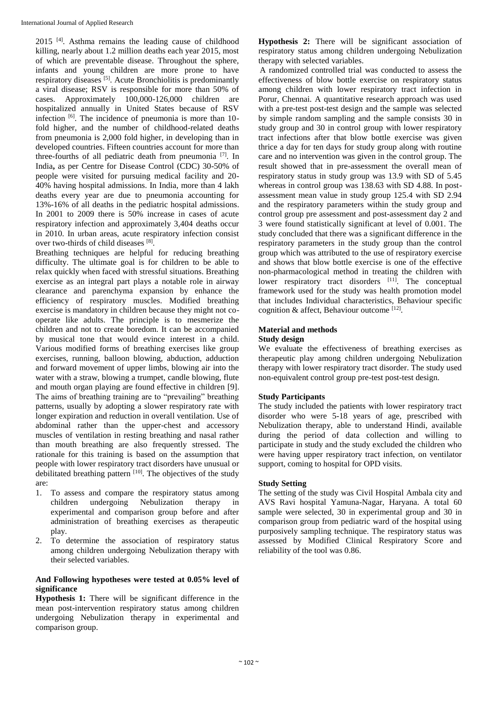2015<sup>[4]</sup>. Asthma remains the leading cause of childhood killing, nearly about 1.2 million deaths each year 2015, most of which are preventable disease. Throughout the sphere, infants and young children are more prone to have respiratory diseases [5]. Acute Bronchiolitis is predominantly a viral disease; RSV is responsible for more than 50% of cases. Approximately 100,000-126,000 children are hospitalized annually in United States because of RSV infection [6]. The incidence of pneumonia is more than 10fold higher, and the number of childhood-related deaths from pneumonia is 2,000 fold higher, in developing than in developed countries. Fifteen countries account for more than three-fourths of all pediatric death from pneumonia<sup>[7]</sup>. In India**,** as per Centre for Disease Control (CDC) 30-50% of people were visited for pursuing medical facility and 20- 40% having hospital admissions. In India, more than 4 lakh deaths every year are due to pneumonia accounting for 13%-16% of all deaths in the pediatric hospital admissions. In 2001 to 2009 there is 50% increase in cases of acute respiratory infection and approximately 3,404 deaths occur in 2010. In urban areas, acute respiratory infection consist over two-thirds of child diseases [8].

Breathing techniques are helpful for reducing breathing difficulty. The ultimate goal is for children to be able to relax quickly when faced with stressful situations. Breathing exercise as an integral part plays a notable role in airway clearance and parenchyma expansion by enhance the efficiency of respiratory muscles. Modified breathing exercise is mandatory in children because they might not cooperate like adults. The principle is to mesmerize the children and not to create boredom. It can be accompanied by musical tone that would evince interest in a child. Various modified forms of breathing exercises like group exercises, running, balloon blowing, abduction, adduction and forward movement of upper limbs, blowing air into the water with a straw, blowing a trumpet, candle blowing, flute and mouth organ playing are found effective in children [9]. The aims of breathing training are to "prevailing" breathing patterns, usually by adopting a slower respiratory rate with longer expiration and reduction in overall ventilation. Use of abdominal rather than the upper-chest and accessory muscles of ventilation in resting breathing and nasal rather than mouth breathing are also frequently stressed. The rationale for this training is based on the assumption that people with lower respiratory tract disorders have unusual or debilitated breathing pattern [10]. The objectives of the study are:

- 1. To assess and compare the respiratory status among<br>children undergoing Nebulization therapy in children undergoing Nebulization therapy in experimental and comparison group before and after administration of breathing exercises as therapeutic play.
- 2. To determine the association of respiratory status among children undergoing Nebulization therapy with their selected variables.

## **And Following hypotheses were tested at 0.05% level of significance**

**Hypothesis 1:** There will be significant difference in the mean post-intervention respiratory status among children undergoing Nebulization therapy in experimental and comparison group.

**Hypothesis 2:** There will be significant association of respiratory status among children undergoing Nebulization therapy with selected variables.

A randomized controlled trial was conducted to assess the effectiveness of blow bottle exercise on respiratory status among children with lower respiratory tract infection in Porur, Chennai. A quantitative research approach was used with a pre-test post-test design and the sample was selected by simple random sampling and the sample consists 30 in study group and 30 in control group with lower respiratory tract infections after that blow bottle exercise was given thrice a day for ten days for study group along with routine care and no intervention was given in the control group. The result showed that in pre-assessment the overall mean of respiratory status in study group was 13.9 with SD of 5.45 whereas in control group was 138.63 with SD 4.88. In postassessment mean value in study group 125.4 with SD 2.94 and the respiratory parameters within the study group and control group pre assessment and post-assessment day 2 and 3 were found statistically significant at level of 0.001. The study concluded that there was a significant difference in the respiratory parameters in the study group than the control group which was attributed to the use of respiratory exercise and shows that blow bottle exercise is one of the effective non-pharmacological method in treating the children with lower respiratory tract disorders [11]. The conceptual framework used for the study was health promotion model that includes Individual characteristics, Behaviour specific cognition & affect, Behaviour outcome [12].

# **Material and methods**

## **Study design**

We evaluate the effectiveness of breathing exercises as therapeutic play among children undergoing Nebulization therapy with lower respiratory tract disorder. The study used non-equivalent control group pre-test post-test design.

# **Study Participants**

The study included the patients with lower respiratory tract disorder who were 5-18 years of age, prescribed with Nebulization therapy, able to understand Hindi, available during the period of data collection and willing to participate in study and the study excluded the children who were having upper respiratory tract infection, on ventilator support, coming to hospital for OPD visits.

## **Study Setting**

The setting of the study was Civil Hospital Ambala city and AVS Ravi hospital Yamuna-Nagar, Haryana. A total 60 sample were selected, 30 in experimental group and 30 in comparison group from pediatric ward of the hospital using purposively sampling technique. The respiratory status was assessed by Modified Clinical Respiratory Score and reliability of the tool was 0.86.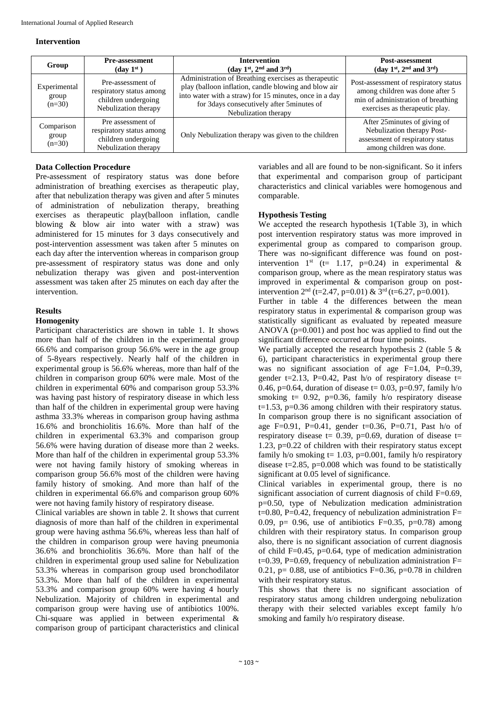## **Intervention**

| Group                             | <b>Pre-assessment</b><br>$(\text{day } 1^{\text{st}})$                                       | <b>Intervention</b><br>$(\text{day 1st}, 2^{nd} \text{ and } 3^{rd})$                                                                                                                                                                       | <b>Post-assessment</b><br>$(\text{day 1st}, 2^{nd} \text{ and } 3^{rd})$                                                                         |
|-----------------------------------|----------------------------------------------------------------------------------------------|---------------------------------------------------------------------------------------------------------------------------------------------------------------------------------------------------------------------------------------------|--------------------------------------------------------------------------------------------------------------------------------------------------|
| Experimental<br>group<br>$(n=30)$ | Pre-assessment of<br>respiratory status among<br>children undergoing<br>Nebulization therapy | Administration of Breathing exercises as therapeutic<br>play (balloon inflation, candle blowing and blow air<br>into water with a straw) for 15 minutes, once in a day<br>for 3days consecutively after 5minutes of<br>Nebulization therapy | Post-assessment of respiratory status<br>among children was done after 5<br>min of administration of breathing<br>exercises as therapeutic play. |
| Comparison<br>group<br>$(n=30)$   | Pre assessment of<br>respiratory status among<br>children undergoing<br>Nebulization therapy | Only Nebulization therapy was given to the children                                                                                                                                                                                         | After 25 minutes of giving of<br>Nebulization therapy Post-<br>assessment of respiratory status<br>among children was done.                      |

# **Data Collection Procedure**

Pre-assessment of respiratory status was done before administration of breathing exercises as therapeutic play, after that nebulization therapy was given and after 5 minutes of administration of nebulization therapy, breathing exercises as therapeutic play(balloon inflation, candle blowing & blow air into water with a straw) was administered for 15 minutes for 3 days consecutively and post-intervention assessment was taken after 5 minutes on each day after the intervention whereas in comparison group pre-assessment of respiratory status was done and only nebulization therapy was given and post-intervention assessment was taken after 25 minutes on each day after the intervention.

## **Results**

## **Homogenity**

Participant characteristics are shown in table 1. It shows more than half of the children in the experimental group 66.6% and comparison group 56.6% were in the age group of 5-8years respectively. Nearly half of the children in experimental group is 56.6% whereas, more than half of the children in comparison group 60% were male. Most of the children in experimental 60% and comparison group 53.3% was having past history of respiratory disease in which less than half of the children in experimental group were having asthma 33.3% whereas in comparison group having asthma 16.6% and bronchiolitis 16.6%. More than half of the children in experimental 63.3% and comparison group 56.6% were having duration of disease more than 2 weeks. More than half of the children in experimental group 53.3% were not having family history of smoking whereas in comparison group 56.6% most of the children were having family history of smoking. And more than half of the children in experimental 66.6% and comparison group 60% were not having family history of respiratory disease.

Clinical variables are shown in table 2. It shows that current diagnosis of more than half of the children in experimental group were having asthma 56.6%, whereas less than half of the children in comparison group were having pneumonia 36.6% and bronchiolitis 36.6%. More than half of the children in experimental group used saline for Nebulization 53.3% whereas in comparison group used bronchodilator 53.3%. More than half of the children in experimental 53.3% and comparison group 60% were having 4 hourly Nebulization. Majority of children in experimental and comparison group were having use of antibiotics 100%. Chi-square was applied in between experimental & comparison group of participant characteristics and clinical

variables and all are found to be non-significant. So it infers that experimental and comparison group of participant characteristics and clinical variables were homogenous and comparable.

## **Hypothesis Testing**

We accepted the research hypothesis 1(Table 3), in which post intervention respiratory status was more improved in experimental group as compared to comparison group. There was no-significant difference was found on postintervention  $1^{st}$  (t= 1.17, p=0.24) in experimental & comparison group, where as the mean respiratory status was improved in experimental & comparison group on postintervention  $2<sup>nd</sup>$  (t=2.47, p=0.01) &  $3<sup>rd</sup>$  (t=6.27, p=0.001).

Further in table 4 the differences between the mean respiratory status in experimental & comparison group was statistically significant as evaluated by repeated measure ANOVA  $(p=0.001)$  and post hoc was applied to find out the significant difference occurred at four time points.

We partially accepted the research hypothesis 2 (table 5  $\&$ 6), participant characteristics in experimental group there was no significant association of age F=1.04, P=0.39, gender t=2.13, P=0.42, Past h/o of respiratory disease t= 0.46, p=0.64, duration of disease t= 0.03, p=0.97, family h/o smoking  $t= 0.92$ , p=0.36, family h/o respiratory disease  $t=1.53$ ,  $p=0.36$  among children with their respiratory status. In comparison group there is no significant association of age F=0.91, P=0.41, gender t=0.36, P=0.71, Past h/o of respiratory disease  $t= 0.39$ ,  $p=0.69$ , duration of disease  $t=$ 1.23, p=0.22 of children with their respiratory status except family h/o smoking  $t= 1.03$ , p=0.001, family h/o respiratory disease  $t=2.85$ ,  $p=0.008$  which was found to be statistically significant at 0.05 level of significance.

Clinical variables in experimental group, there is no significant association of current diagnosis of child F=0.69, p=0.50, type of Nebulization medication administration t=0.80, P=0.42, frequency of nebulization administration  $F=$ 0.09,  $p = 0.96$ , use of antibiotics  $F=0.35$ ,  $p=0.78$ ) among children with their respiratory status. In comparison group also, there is no significant association of current diagnosis of child F=0.45, p=0.64, type of medication administration t=0.39, P=0.69, frequency of nebulization administration  $F=$ 0.21,  $p = 0.88$ , use of antibiotics F=0.36,  $p=0.78$  in children with their respiratory status.

This shows that there is no significant association of respiratory status among children undergoing nebulization therapy with their selected variables except family h/o smoking and family h/o respiratory disease.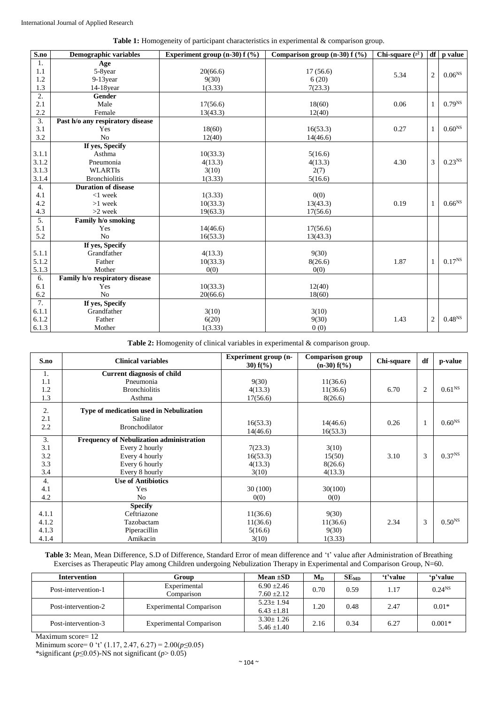| Table 1: Homogeneity of participant characteristics in experimental & comparison group. |  |  |  |  |
|-----------------------------------------------------------------------------------------|--|--|--|--|
|                                                                                         |  |  |  |  |

| S.no             | Demographic variables            | Experiment group $(n-30) f$ (%) | Comparison group $(n-30)$ f $(\%)$ | Chi-square $(x^2)$ |                | $df$ p value       |
|------------------|----------------------------------|---------------------------------|------------------------------------|--------------------|----------------|--------------------|
| 1.               | Age                              |                                 |                                    |                    |                |                    |
| 1.1              | 5-8year                          | 20(66.6)                        | 17(56.6)                           | 5.34               | $\overline{2}$ | 0.06 <sup>NS</sup> |
| 1.2              | $9-13$ year                      | 9(30)                           | 6(20)                              |                    |                |                    |
| 1.3              | $14-18$ year                     | 1(3.33)                         | 7(23.3)                            |                    |                |                    |
| 2.               | <b>Gender</b>                    |                                 |                                    |                    |                |                    |
| 2.1              | Male                             | 17(56.6)                        | 18(60)                             | 0.06               | $\mathbf{1}$   | $0.79^{NS}$        |
| 2.2              | Female                           | 13(43.3)                        | 12(40)                             |                    |                |                    |
| $\overline{3}$ . | Past h/o any respiratory disease |                                 |                                    |                    |                |                    |
| 3.1              | Yes                              | 18(60)                          | 16(53.3)                           | 0.27               | $\mathbf{1}$   | 0.60 <sup>NS</sup> |
| 3.2              | N <sub>o</sub>                   | 12(40)                          | 14(46.6)                           |                    |                |                    |
|                  | If yes, Specify                  |                                 |                                    |                    |                |                    |
| 3.1.1            | Asthma                           | 10(33.3)                        | 5(16.6)                            |                    |                |                    |
| 3.1.2            | Pneumonia                        | 4(13.3)                         | 4(13.3)                            | 4.30               | 3              | 0.23 <sup>NS</sup> |
| 3.1.3            | <b>WLARTIS</b>                   | 3(10)                           | 2(7)                               |                    |                |                    |
| 3.1.4            | <b>Bronchiolitis</b>             | 1(3.33)                         | 5(16.6)                            |                    |                |                    |
| 4.               | <b>Duration of disease</b>       |                                 |                                    |                    |                |                    |
| 4.1              | $<$ 1 week                       | 1(3.33)                         | 0(0)                               |                    |                |                    |
| 4.2              | $>1$ week                        | 10(33.3)                        | 13(43.3)                           | 0.19               | $\mathbf{1}$   | $0.66^{NS}$        |
| 4.3              | $>2$ week                        | 19(63.3)                        | 17(56.6)                           |                    |                |                    |
| 5.               | Family h/o smoking               |                                 |                                    |                    |                |                    |
| 5.1              | Yes                              | 14(46.6)                        | 17(56.6)                           |                    |                |                    |
| 5.2              | N <sub>o</sub>                   | 16(53.3)                        | 13(43.3)                           |                    |                |                    |
|                  | If yes, Specify                  |                                 |                                    |                    |                |                    |
| 5.1.1            | Grandfather                      | 4(13.3)                         | 9(30)                              |                    |                |                    |
| 5.1.2            | Father                           | 10(33.3)                        | 8(26.6)                            | 1.87               | $\mathbf{1}$   | $0.17^{NS}$        |
| 5.1.3            | Mother                           | 0(0)                            | 0(0)                               |                    |                |                    |
| 6.               | Family h/o respiratory disease   |                                 |                                    |                    |                |                    |
| 6.1              | Yes                              | 10(33.3)                        | 12(40)                             |                    |                |                    |
| 6.2              | N <sub>0</sub>                   | 20(66.6)                        | 18(60)                             |                    |                |                    |
| 7.               | If yes, Specify                  |                                 |                                    |                    |                |                    |
| 6.1.1            | Grandfather                      | 3(10)                           | 3(10)                              |                    |                |                    |
| 6.1.2            | Father                           | 6(20)                           | 9(30)                              | 1.43               | $\mathfrak{2}$ | $0.48^{NS}$        |
| 6.1.3            | Mother                           | 1(3.33)                         | 0(0)                               |                    |                |                    |

Table 2: Homogenity of clinical variables in experimental & comparison group.

| S.no      | <b>Clinical variables</b>                                | Experiment group (n-<br>30) $f(\% )$ | <b>Comparison group</b><br>$(n-30) f(\%)$ | Chi-square | df             | p-value            |
|-----------|----------------------------------------------------------|--------------------------------------|-------------------------------------------|------------|----------------|--------------------|
| 1.        | <b>Current diagnosis of child</b>                        |                                      |                                           |            |                |                    |
| 1.1       | Pneumonia                                                | 9(30)                                | 11(36.6)                                  |            |                |                    |
| 1.2       | <b>Bronchiolitis</b>                                     | 4(13.3)                              | 11(36.6)                                  | 6.70       | $\overline{2}$ | $0.61^{NS}$        |
| 1.3       | Asthma                                                   | 17(56.6)                             | 8(26.6)                                   |            |                |                    |
| 2.<br>2.1 | <b>Type of medication used in Nebulization</b><br>Saline | 16(53.3)                             | 14(46.6)                                  | 0.26       |                | $0.60^{NS}$        |
| 2.2       | <b>Bronchodilator</b>                                    | 14(46.6)                             | 16(53.3)                                  |            |                |                    |
| 3.        | <b>Frequency of Nebulization administration</b>          |                                      |                                           |            |                |                    |
| 3.1       | Every 2 hourly                                           | 7(23.3)                              | 3(10)                                     |            |                |                    |
| 3.2       | Every 4 hourly                                           | 16(53.3)                             | 15(50)                                    | 3.10       | 3              | 0.37 <sup>NS</sup> |
| 3.3       | Every 6 hourly                                           | 4(13.3)                              | 8(26.6)                                   |            |                |                    |
| 3.4       | Every 8 hourly                                           | 3(10)                                | 4(13.3)                                   |            |                |                    |
| 4.        | <b>Use of Antibiotics</b>                                |                                      |                                           |            |                |                    |
| 4.1       | Yes                                                      | 30 (100)                             | 30(100)                                   |            |                |                    |
| 4.2       | N <sub>0</sub>                                           | 0(0)                                 | 0(0)                                      |            |                |                    |
|           | <b>Specify</b>                                           |                                      |                                           |            |                |                    |
| 4.1.1     | Ceftriazone                                              | 11(36.6)                             | 9(30)                                     |            |                |                    |
| 4.1.2     | Tazobactam                                               | 11(36.6)                             | 11(36.6)                                  | 2.34       | 3              | $0.50^{NS}$        |
| 4.1.3     | Piperacillin                                             | 5(16.6)                              | 9(30)                                     |            |                |                    |
| 4.1.4     | Amikacin                                                 | 3(10)                                | 1(3.33)                                   |            |                |                    |

**Table 3:** Mean, Mean Difference, S.D of Difference, Standard Error of mean difference and 't' value after Administration of Breathing Exercises as Therapeutic Play among Children undergoing Nebulization Therapy in Experimental and Comparison Group, N=60.

| <b>Intervention</b> | Group                          | Mean $\pm SD$   | $\mathbf{M}_{\mathbf{D}}$ | SE <sub>MD</sub> | 't'value | 'n'value    |  |
|---------------------|--------------------------------|-----------------|---------------------------|------------------|----------|-------------|--|
| Post-intervention-1 | Experimental                   | $6.90 \pm 2.46$ | 0.70                      | 0.59             | 1.17     | $0.24^{NS}$ |  |
|                     | Comparison                     | $7.60 \pm 2.12$ |                           |                  |          |             |  |
| Post-intervention-2 |                                | $5.23 \pm 1.94$ | .20                       | 0.48             | 2.47     | $0.01*$     |  |
|                     | <b>Experimental Comparison</b> | $6.43 \pm 1.81$ |                           |                  |          |             |  |
| Post-intervention-3 | <b>Experimental Comparison</b> | $3.30 \pm 1.26$ | 2.16                      | 0.34             | 6.27     | $0.001*$    |  |
|                     |                                | $5.46 \pm 1.40$ |                           |                  |          |             |  |

Maximum score= 12

Minimum score= 0 't' (1.17, 2.47, 6.27) = 2.00(*p*≤0.05) \*significant (*p*≤0.05)-NS not significant (*p*> 0.05)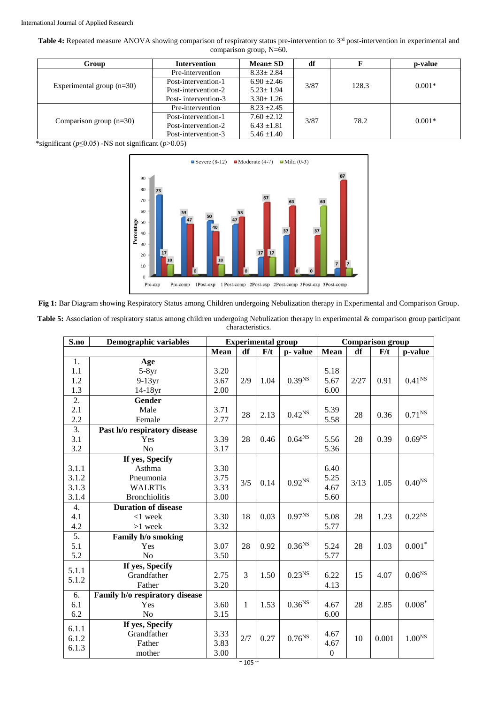Table 4: Repeated measure ANOVA showing comparison of respiratory status pre-intervention to 3<sup>rd</sup> post-intervention in experimental and comparison group, N=60.

| Group                       | <b>Intervention</b> | $Mean \pm SD$   | df   |       | p-value  |
|-----------------------------|---------------------|-----------------|------|-------|----------|
|                             | Pre-intervention    | $8.33 \pm 2.84$ |      |       |          |
|                             | Post-intervention-1 | $6.90 + 2.46$   | 3/87 | 128.3 | $0.001*$ |
| Experimental group $(n=30)$ | Post-intervention-2 | $5.23 + 1.94$   |      |       |          |
|                             | Post-intervention-3 | $3.30 \pm 1.26$ |      |       |          |
|                             | Pre-intervention    | $8.23 + 2.45$   |      | 78.2  |          |
|                             | Post-intervention-1 | $7.60 + 2.12$   | 3/87 |       | $0.001*$ |
| Comparison group $(n=30)$   | Post-intervention-2 | $6.43 \pm 1.81$ |      |       |          |
|                             | Post-intervention-3 | $5.46 \pm 1.40$ |      |       |          |

\*significant (*p*≤0.05) -NS not significant (*p*>0.05)



**Fig 1:** Bar Diagram showing Respiratory Status among Children undergoing Nebulization therapy in Experimental and Comparison Group.

| Table 5: Association of respiratory status among children undergoing Nebulization therapy in experimental & comparison group participant |  |                  |  |  |  |
|------------------------------------------------------------------------------------------------------------------------------------------|--|------------------|--|--|--|
|                                                                                                                                          |  | characteristics. |  |  |  |

| S.no  | Demographic variables          |      |              | <b>Experimental group</b> |                    |                  | <b>Comparison</b> group |       |                    |  |
|-------|--------------------------------|------|--------------|---------------------------|--------------------|------------------|-------------------------|-------|--------------------|--|
|       |                                | Mean | df           | F/t                       | p-value            | <b>Mean</b>      | df                      | F/t   | p-value            |  |
| 1.    | Age                            |      |              |                           |                    |                  |                         |       |                    |  |
| 1.1   | $5-8yr$                        | 3.20 |              |                           |                    | 5.18             |                         |       |                    |  |
| 1.2   | $9-13yr$                       | 3.67 | 2/9          | 1.04                      | 0.39 <sup>NS</sup> | 5.67             | 2/27                    | 0.91  | $0.41^{NS}$        |  |
| 1.3   | 14-18yr                        | 2.00 |              |                           |                    | 6.00             |                         |       |                    |  |
| 2.    | Gender                         |      |              |                           |                    |                  |                         |       |                    |  |
| 2.1   | Male                           | 3.71 | 28           | 2.13                      | $0.42^{NS}$        | 5.39             | 28                      | 0.36  | $0.71^{NS}$        |  |
| 2.2   | Female                         | 2.77 |              |                           |                    | 5.58             |                         |       |                    |  |
| 3.    | Past h/o respiratory disease   |      |              |                           |                    |                  |                         |       |                    |  |
| 3.1   | Yes                            | 3.39 | 28           | 0.46                      | $0.64^{NS}$        | 5.56             | 28                      | 0.39  | 0.69 <sup>NS</sup> |  |
| 3.2   | N <sub>o</sub>                 | 3.17 |              |                           |                    | 5.36             |                         |       |                    |  |
|       | If yes, Specify                |      |              |                           |                    |                  |                         |       |                    |  |
| 3.1.1 | Asthma                         | 3.30 |              |                           |                    | 6.40             |                         |       |                    |  |
| 3.1.2 | Pneumonia                      | 3.75 | 3/5          | 0.14                      | 0.92 <sup>NS</sup> | 5.25             | 3/13                    | 1.05  | 0.40 <sup>NS</sup> |  |
| 3.1.3 | <b>WALRTIS</b>                 | 3.33 |              |                           |                    | 4.67             |                         |       |                    |  |
| 3.1.4 | <b>Bronchiolitis</b>           | 3.00 |              |                           |                    | 5.60             |                         |       |                    |  |
| 4.    | <b>Duration of disease</b>     |      |              |                           |                    |                  |                         |       |                    |  |
| 4.1   | $<$ 1 week                     | 3.30 | 18           | 0.03                      | $0.97^{NS}$        | 5.08             | 28                      | 1.23  | 0.22 <sup>NS</sup> |  |
| 4.2   | $>1$ week                      | 3.32 |              |                           |                    | 5.77             |                         |       |                    |  |
| 5.    | Family h/o smoking             |      |              |                           |                    |                  |                         |       |                    |  |
| 5.1   | Yes                            | 3.07 | 28           | 0.92                      | $0.36^{NS}$        | 5.24             | 28                      | 1.03  | $0.001*$           |  |
| 5.2   | N <sub>o</sub>                 | 3.50 |              |                           |                    | 5.77             |                         |       |                    |  |
| 5.1.1 | If yes, Specify                |      |              |                           |                    |                  |                         |       |                    |  |
| 5.1.2 | Grandfather                    | 2.75 | 3            | 1.50                      | $0.23^{NS}$        | 6.22             | 15                      | 4.07  | 0.06 <sup>NS</sup> |  |
|       | Father                         | 3.20 |              |                           |                    | 4.13             |                         |       |                    |  |
| 6.    | Family h/o respiratory disease |      |              |                           |                    |                  |                         |       |                    |  |
| 6.1   | Yes                            | 3.60 | $\mathbf{1}$ | 1.53                      | $0.36^{NS}$        | 4.67             | 28                      | 2.85  | $0.008*$           |  |
| 6.2   | N <sub>o</sub>                 | 3.15 |              |                           |                    | 6.00             |                         |       |                    |  |
| 6.1.1 | If yes, Specify                |      |              |                           |                    |                  |                         |       |                    |  |
| 6.1.2 | Grandfather                    | 3.33 | 2/7          | 0.27                      | 0.76 <sup>NS</sup> | 4.67             | 10                      | 0.001 | 1.00 <sup>NS</sup> |  |
| 6.1.3 | Father                         | 3.83 |              |                           |                    | 4.67             |                         |       |                    |  |
|       | mother                         | 3.00 |              |                           |                    | $\boldsymbol{0}$ |                         |       |                    |  |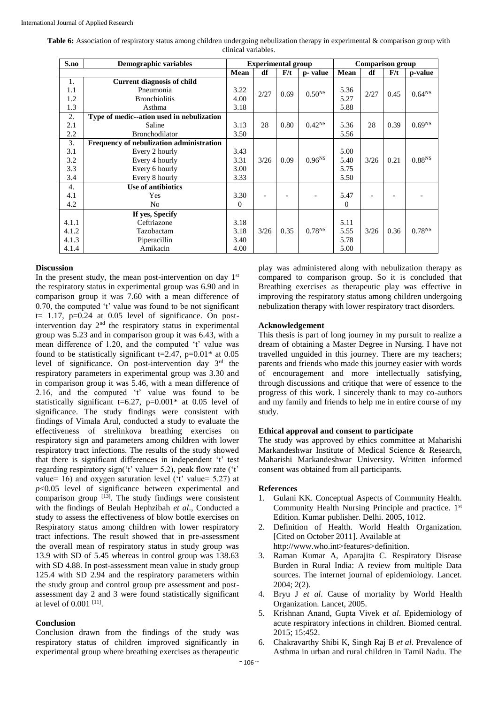Table 6: Association of respiratory status among children undergoing nebulization therapy in experimental & comparison group with clinical variables.

| S.no  | Demographic variables                     | <b>Experimental group</b> |      |      |                    | <b>Comparison group</b> |                |      |                    |
|-------|-------------------------------------------|---------------------------|------|------|--------------------|-------------------------|----------------|------|--------------------|
|       |                                           | <b>Mean</b>               | df   | F/t  | p-value            | Mean                    | df             | F/t  | p-value            |
| 1.    | <b>Current diagnosis of child</b>         |                           |      |      |                    |                         |                |      |                    |
| 1.1   | Pneumonia                                 | 3.22                      | 2/27 | 0.69 | 0.50 <sup>NS</sup> | 5.36                    | 2/27           | 0.45 | 0.64 <sup>NS</sup> |
| 1.2   | <b>Bronchiolitis</b>                      | 4.00                      |      |      |                    | 5.27                    |                |      |                    |
| 1.3   | Asthma                                    | 3.18                      |      |      |                    | 5.88                    |                |      |                    |
| 2.    | Type of medic--ation used in nebulization |                           |      |      |                    |                         |                |      |                    |
| 2.1   | Saline                                    | 3.13                      | 28   | 0.80 | $0.42^{NS}$        | 5.36                    | 28             | 0.39 | 0.69 <sup>NS</sup> |
| 2.2   | <b>Bronchodilator</b>                     | 3.50                      |      |      |                    | 5.56                    |                |      |                    |
| 3.    | Frequency of nebulization administration  |                           |      |      |                    |                         |                |      |                    |
| 3.1   | Every 2 hourly                            | 3.43                      |      |      |                    | 5.00                    |                |      |                    |
| 3.2   | Every 4 hourly                            | 3.31                      | 3/26 | 0.09 | $0.96^{NS}$        | 5.40                    | 3/26           | 0.21 | 0.88 <sup>NS</sup> |
| 3.3   | Every 6 hourly                            | 3.00                      |      |      |                    | 5.75                    |                |      |                    |
| 3.4   | Every 8 hourly                            | 3.33                      |      |      |                    | 5.50                    |                |      |                    |
| 4.    | Use of antibiotics                        |                           |      |      |                    |                         |                |      |                    |
| 4.1   | <b>Yes</b>                                | 3.30                      |      |      |                    | 5.47                    | $\overline{a}$ |      |                    |
| 4.2   | N <sub>0</sub>                            | $\Omega$                  |      |      |                    | $\Omega$                |                |      |                    |
|       | If yes, Specify                           |                           |      |      |                    |                         |                |      |                    |
| 4.1.1 | Ceftriazone                               | 3.18                      |      |      |                    | 5.11                    |                |      |                    |
| 4.1.2 | Tazobactam                                | 3.18                      | 3/26 | 0.35 | $0.78^{NS}$        | 5.55                    | 3/26           | 0.36 | $0.78^{NS}$        |
| 4.1.3 | Piperacillin                              | 3.40                      |      |      |                    | 5.78                    |                |      |                    |
| 4.1.4 | Amikacin                                  | 4.00                      |      |      |                    | 5.00                    |                |      |                    |

#### **Discussion**

In the present study, the mean post-intervention on day  $1<sup>st</sup>$ the respiratory status in experimental group was 6.90 and in comparison group it was 7.60 with a mean difference of 0.70, the computed 't' value was found to be not significant  $t= 1.17$ ,  $p=0.24$  at 0.05 level of significance. On postintervention day 2nd the respiratory status in experimental group was 5.23 and in comparison group it was 6.43, with a mean difference of 1.20, and the computed 't' value was found to be statistically significant t=2.47,  $p=0.01*$  at 0.05 level of significance. On post-intervention day  $3<sup>rd</sup>$  the respiratory parameters in experimental group was 3.30 and in comparison group it was 5.46, with a mean difference of 2.16, and the computed 't' value was found to be statistically significant t=6.27,  $p=0.001*$  at 0.05 level of significance. The study findings were consistent with findings of Vimala Arul, conducted a study to evaluate the effectiveness of strelinkova breathing exercises on respiratory sign and parameters among children with lower respiratory tract infections. The results of the study showed that there is significant differences in independent 't' test regarding respiratory sign('t' value= 5.2), peak flow rate ('t' value= 16) and oxygen saturation level ('t' value= 5.27) at *p*<0.05 level of significance between experimental and comparison group  $[13]$ . The study findings were consistent with the findings of Beulah Hephzibah *et al*., Conducted a study to assess the effectiveness of blow bottle exercises on Respiratory status among children with lower respiratory tract infections. The result showed that in pre-assessment the overall mean of respiratory status in study group was 13.9 with SD of 5.45 whereas in control group was 138.63 with SD 4.88. In post-assessment mean value in study group 125.4 with SD 2.94 and the respiratory parameters within the study group and control group pre assessment and postassessment day 2 and 3 were found statistically significant at level of 0.001 [11].

### **Conclusion**

Conclusion drawn from the findings of the study was respiratory status of children improved significantly in experimental group where breathing exercises as therapeutic play was administered along with nebulization therapy as compared to comparison group. So it is concluded that Breathing exercises as therapeutic play was effective in improving the respiratory status among children undergoing nebulization therapy with lower respiratory tract disorders.

## **Acknowledgement**

This thesis is part of long journey in my pursuit to realize a dream of obtaining a Master Degree in Nursing. I have not travelled unguided in this journey. There are my teachers; parents and friends who made this journey easier with words of encouragement and more intellectually satisfying, through discussions and critique that were of essence to the progress of this work. I sincerely thank to may co-authors and my family and friends to help me in entire course of my study.

## **Ethical approval and consent to participate**

The study was approved by ethics committee at Maharishi Markandeshwar Institute of Medical Science & Research, Maharishi Markandeshwar University. Written informed consent was obtained from all participants.

#### **References**

- 1. Gulani KK. Conceptual Aspects of Community Health. Community Health Nursing Principle and practice. 1<sup>st</sup> Edition. Kumar publisher. Delhi. 2005, 1012.
- 2. Definition of Health. World Health Organization. [Cited on October 2011]. Available at http://www.who.int>features>definition.
- 3. Raman Kumar A, Aparajita C. Respiratory Disease Burden in Rural India: A review from multiple Data sources. The internet journal of epidemiology. Lancet. 2004; 2(2).
- 4. Bryu J *et al*. Cause of mortality by World Health Organization. Lancet, 2005.
- 5. Krishnan Anand, Gupta Vivek *et al*. Epidemiology of acute respiratory infections in children. Biomed central. 2015; 15:452.
- 6. Chakravarthy Shibi K, Singh Raj B *et al*. Prevalence of Asthma in urban and rural children in Tamil Nadu. The